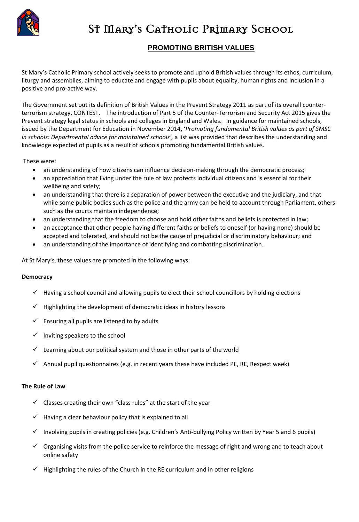

# St MARY's CATHOLIC PRIMARY SCHOOL

# **PROMOTING BRITISH VALUES**

St Mary's Catholic Primary school actively seeks to promote and uphold British values through its ethos, curriculum, liturgy and assemblies, aiming to educate and engage with pupils about equality, human rights and inclusion in a positive and pro-active way.

The Government set out its definition of British Values in the Prevent Strategy 2011 as part of its overall counterterrorism strategy, CONTEST. The introduction of Part 5 of the Counter-Terrorism and Security Act 2015 gives the Prevent strategy legal status in schools and colleges in England and Wales. In guidance for maintained schools, issued by the Department for Education in November 2014, '*Promoting fundamental British values as part of SMSC in schools: Departmental advice for maintained schools',* a list was provided that describes the understanding and knowledge expected of pupils as a result of schools promoting fundamental British values.

These were:

- an understanding of how citizens can influence decision-making through the democratic process;
- an appreciation that living under the rule of law protects individual citizens and is essential for their wellbeing and safety;
- an understanding that there is a separation of power between the executive and the judiciary, and that while some public bodies such as the police and the army can be held to account through Parliament, others such as the courts maintain independence;
- an understanding that the freedom to choose and hold other faiths and beliefs is protected in law;
- an acceptance that other people having different faiths or beliefs to oneself (or having none) should be accepted and tolerated, and should not be the cause of prejudicial or discriminatory behaviour; and
- an understanding of the importance of identifying and combatting discrimination.

At St Mary's, these values are promoted in the following ways:

# **Democracy**

- $\checkmark$  Having a school council and allowing pupils to elect their school councillors by holding elections
- $\checkmark$  Highlighting the development of democratic ideas in history lessons
- $\checkmark$  Ensuring all pupils are listened to by adults
- $\checkmark$  Inviting speakers to the school
- $\checkmark$  Learning about our political system and those in other parts of the world
- $\checkmark$  Annual pupil questionnaires (e.g. in recent years these have included PE, RE, Respect week)

# **The Rule of Law**

- $\checkmark$  Classes creating their own "class rules" at the start of the year
- $\checkmark$  Having a clear behaviour policy that is explained to all
- $\checkmark$  Involving pupils in creating policies (e.g. Children's Anti-bullying Policy written by Year 5 and 6 pupils)
- $\checkmark$  Organising visits from the police service to reinforce the message of right and wrong and to teach about online safety
- $\checkmark$  Highlighting the rules of the Church in the RE curriculum and in other religions